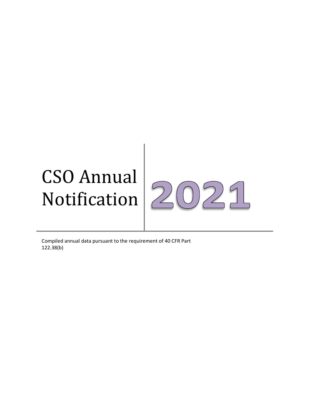# CSO Annual  $\sqrt{2}$ Notification |

 $\mathcal{D}$ 

 $9<sub>L</sub>$ 

Compiled annual data pursuant to the requirement of 40 CFR Part 122.38(b)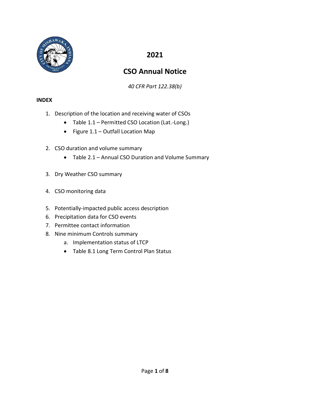

## **2021**

# **CSO Annual Notice**

*40 CFR Part 122.38(b)*

#### **INDEX**

- 1. Description of the location and receiving water of CSOs
	- Table 1.1 Permitted CSO Location (Lat.-Long.)
	- Figure 1.1 Outfall Location Map
- 2. CSO duration and volume summary
	- Table 2.1 Annual CSO Duration and Volume Summary
- 3. Dry Weather CSO summary
- 4. CSO monitoring data
- 5. Potentially-impacted public access description
- 6. Precipitation data for CSO events
- 7. Permittee contact information
- 8. Nine minimum Controls summary
	- a. Implementation status of LTCP
	- Table 8.1 Long Term Control Plan Status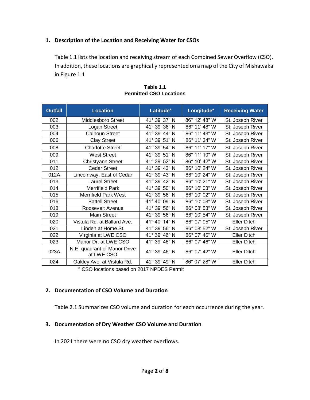#### **1. Description of the Location and Receiving Water for CSOs**

Table 1.1 lists the location and receiving stream of each Combined Sewer Overflow (CSO). In addition, these locations are graphically represented on a map of the City of Mishawaka in Figure 1.1

| <b>Outfall</b> | <b>Location</b>                            | Latitude <sup>a</sup> | Longitude <sup>a</sup> | <b>Receiving Water</b> |
|----------------|--------------------------------------------|-----------------------|------------------------|------------------------|
| 002            | Middlesboro Street                         | 41° 39' 37" N         | 86° 12' 48" W          | St. Joseph River       |
| 003            | Logan Street                               | 41° 39' 36" N         | 86° 11' 48" W          | St. Joseph River       |
| 004            | <b>Calhoun Street</b>                      | 41° 39' 44" N         | 86° 11' 43" W          | St. Joseph River       |
| 006            | <b>Clay Street</b>                         | 41° 39' 51" N         | 86° 11' 34" W          | St. Joseph River       |
| 008            | <b>Charlotte Street</b>                    | 41° 39' 54" N         | 86° 11' 17" W          | St. Joseph River       |
| 009            | <b>West Street</b>                         | 41° 39' 51" N         | 86° 11' 10" W          | St. Joseph River       |
| 011            | Christyann Street                          | 41° 39' 52" N         | 86° 10' 42" W          | St. Joseph River       |
| 012            | <b>Cedar Street</b>                        | 41° 39' 43" N         | 86° 10' 24" W          | St. Joseph River       |
| 012A           | Lincolnway, East of Cedar                  | 41° 39' 43" N         | 86° 10' 24" W          | St. Joseph River       |
| 013            | <b>Laurel Street</b>                       | 41° 39' 42" N         | 86° 10' 21" W          | St. Joseph River       |
| 014            | <b>Merrifield Park</b>                     | 41° 39' 50" N         | 86° 10' 03" W          | St. Joseph River       |
| 015            | <b>Merrifield Park West</b>                | 41° 39' 56" N         | 86° 10' 02" W          | St. Joseph River       |
| 016            | <b>Battell Street</b>                      | 41° 40' 09" N         | 86° 10' 03" W          | St. Joseph River       |
| 018            | Roosevelt Avenue                           | 41° 39' 56" N         | 86° 08' 53" W          | St. Joseph River       |
| 019            | <b>Main Street</b>                         | 41° 39' 56" N         | 86° 10' 54" W          | St. Joseph River       |
| 020            | Vistula Rd. at Ballard Ave.                | 41° 40' 14" N         | 86° 07' 05" W          | Eller Ditch            |
| 021            | Linden at Home St.                         | 41° 39' 56" N         | 86° 08' 52" W          | St. Joseph River       |
| 022            | Virginia at LWE CSO                        | 41° 39' 46" N         | 86° 07' 46" W          | <b>Eller Ditch</b>     |
| 023            | Manor Dr. at LWE CSO                       | 41° 39' 46" N         | 86° 07' 46" W          | <b>Eller Ditch</b>     |
| 023A           | N.E. quadrant of Manor Drive<br>at LWE CSO | 41° 39' 46" N         | 86° 07' 42" W          | <b>Eller Ditch</b>     |
| 024            | Oakley Ave. at Vistula Rd.                 | 41° 39' 49" N         | 86° 07' 28" W          | <b>Eller Ditch</b>     |

#### **Table 1.1 Permitted CSO Locations**

a CSO locations based on 2017 NPDES Permit

#### **2. Documentation of CSO Volume and Duration**

Table 2.1 Summarizes CSO volume and duration for each occurrence during the year.

## **3. Documentation of Dry Weather CSO Volume and Duration**

In 2021 there were no CSO dry weather overflows.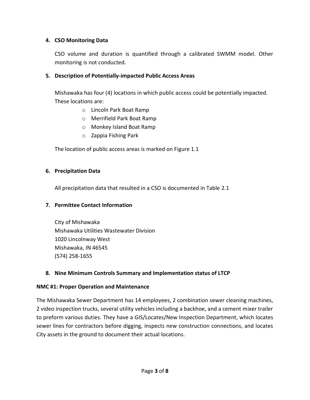#### **4. CSO Monitoring Data**

CSO volume and duration is quantified through a calibrated SWMM model. Other monitoring is not conducted.

#### **5. Description of Potentially-impacted Public Access Areas**

Mishawaka has four (4) locations in which public access could be potentially impacted. These locations are:

- o Lincoln Park Boat Ramp
- o Merrifield Park Boat Ramp
- o Monkey Island Boat Ramp
- o Zappia Fishing Park

The location of public access areas is marked on Figure 1.1

#### **6. Precipitation Data**

All precipitation data that resulted in a CSO is documented in Table 2.1

#### **7. Permittee Contact Information**

City of Mishawaka Mishawaka Utilities Wastewater Division 1020 Lincolnway West Mishawaka, IN 46545 (574) 258-1655

#### **8. Nine Minimum Controls Summary and Implementation status of LTCP**

#### **NMC #1: Proper Operation and Maintenance**

The Mishawaka Sewer Department has 14 employees, 2 combination sewer cleaning machines, 2 video inspection trucks, several utility vehicles including a backhoe, and a cement mixer trailer to preform various duties. They have a GIS/Locates/New Inspection Department, which locates sewer lines for contractors before digging, inspects new construction connections, and locates City assets in the ground to document their actual locations.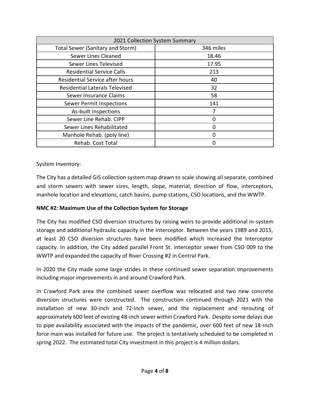| 2021 Collection System Summary          |           |
|-----------------------------------------|-----------|
| <b>Total Sewer (Sanitary and Storm)</b> | 346 miles |
| Sewer Lines Cleaned                     | 18.46     |
| Sewer Lines Televised                   | 17.95     |
| <b>Residential Service Calls</b>        | 213       |
| <b>Residential Service after hours</b>  | 40        |
| <b>Residential Laterals Televised</b>   | 32        |
| Sewer Insurance Claims                  | 58        |
| Sewer Permit Inspections                | 141       |
| As-built Inspections                    | 7         |
| Sewer Line Rehab. CIPP                  | 0         |
| Sewer Lines Rehabilitated               | ი         |
| Manhole Rehab. (poly line)              | N         |
| Rehab. Cost Total                       | 0         |

System Inventory:

The City has a detailed GIS collection system map drawn to scale showing all separate, combined and storm sewers with sewer sizes, length, slope, material, direction of flow, interceptors, manhole location and elevations, catch basins, pump stations, CSO locations, and the WWTP.

## **NMC #2: Maximum Use of the Collection System for Storage**

The City has modified CSO diversion structures by raising weirs to provide additional in-system storage and additional hydraulic capacity in the Interceptor. Between the years 1989 and 2015, at least 20 CSO diversion structures have been modified which increased the Interceptor capacity. In addition, the City added parallel Front St. interceptor sewer from CSO 009 to the WWTP and expanded the capacity of River Crossing #2 in Central Park.

In 2020 the City made some large strides in these continued sewer separation improvements including major improvements in and around Crawford Park.

In Crawford Park area the combined sewer overflow was relocated and two new concrete diversion structures were constructed. The construction continued through 2021 with the installation of new 30-inch and 72-inch sewer, and the replacement and rerouting of approximately 600 feet of existing 48-inch sewer within Crawford Park. Despite some delays due to pipe availability associated with the impacts of the pandemic, over 600 feet of new 18-inch force main was installed for future use. The project is tentatively scheduled to be completed in spring 2022. The estimated total City investment in this project is 4 million dollars.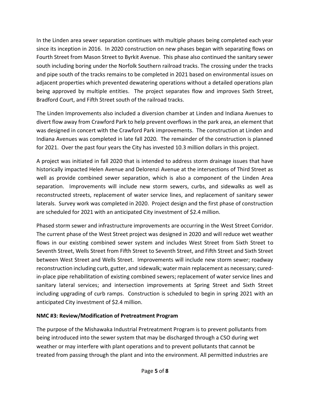In the Linden area sewer separation continues with multiple phases being completed each year since its inception in 2016. In 2020 construction on new phases began with separating flows on Fourth Street from Mason Street to Byrkit Avenue. This phase also continued the sanitary sewer south including boring under the Norfolk Southern railroad tracks. The crossing under the tracks and pipe south of the tracks remains to be completed in 2021 based on environmental issues on adjacent properties which prevented dewatering operations without a detailed operations plan being approved by multiple entities. The project separates flow and improves Sixth Street, Bradford Court, and Fifth Street south of the railroad tracks.

The Linden Improvements also included a diversion chamber at Linden and Indiana Avenues to divert flow away from Crawford Park to help prevent overflows in the park area, an element that was designed in concert with the Crawford Park improvements. The construction at Linden and Indiana Avenues was completed in late fall 2020. The remainder of the construction is planned for 2021. Over the past four years the City has invested 10.3 million dollars in this project.

A project was initiated in fall 2020 that is intended to address storm drainage issues that have historically impacted Helen Avenue and Delorenzi Avenue at the intersections of Third Street as well as provide combined sewer separation, which is also a component of the Linden Area separation. Improvements will include new storm sewers, curbs, and sidewalks as well as reconstructed streets, replacement of water service lines, and replacement of sanitary sewer laterals. Survey work was completed in 2020. Project design and the first phase of construction are scheduled for 2021 with an anticipated City investment of \$2.4 million.

Phased storm sewer and infrastructure improvements are occurring in the West Street Corridor. The current phase of the West Street project was designed in 2020 and will reduce wet weather flows in our existing combined sewer system and includes West Street from Sixth Street to Seventh Street, Wells Street from Fifth Street to Seventh Street, and Fifth Street and Sixth Street between West Street and Wells Street. Improvements will include new storm sewer; roadway reconstruction including curb, gutter, and sidewalk; water main replacement as necessary; curedin-place pipe rehabilitation of existing combined sewers; replacement of water service lines and sanitary lateral services; and intersection improvements at Spring Street and Sixth Street including upgrading of curb ramps. Construction is scheduled to begin in spring 2021 with an anticipated City investment of \$2.4 million.

## **NMC #3: Review/Modification of Pretreatment Program**

The purpose of the Mishawaka Industrial Pretreatment Program is to prevent pollutants from being introduced into the sewer system that may be discharged through a CSO during wet weather or may interfere with plant operations and to prevent pollutants that cannot be treated from passing through the plant and into the environment. All permitted industries are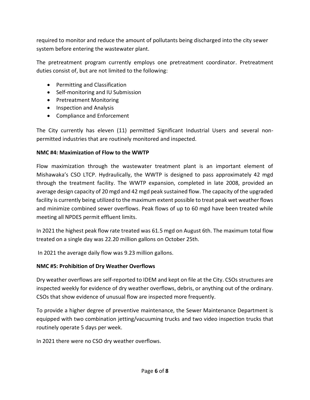required to monitor and reduce the amount of pollutants being discharged into the city sewer system before entering the wastewater plant.

The pretreatment program currently employs one pretreatment coordinator. Pretreatment duties consist of, but are not limited to the following:

- Permitting and Classification
- Self-monitoring and IU Submission
- Pretreatment Monitoring
- Inspection and Analysis
- Compliance and Enforcement

The City currently has eleven (11) permitted Significant Industrial Users and several nonpermitted industries that are routinely monitored and inspected.

#### **NMC #4: Maximization of Flow to the WWTP**

Flow maximization through the wastewater treatment plant is an important element of Mishawaka's CSO LTCP. Hydraulically, the WWTP is designed to pass approximately 42 mgd through the treatment facility. The WWTP expansion, completed in late 2008, provided an average design capacity of 20 mgd and 42 mgd peak sustained flow. The capacity of the upgraded facility is currently being utilized to the maximum extent possible to treat peak wet weather flows and minimize combined sewer overflows. Peak flows of up to 60 mgd have been treated while meeting all NPDES permit effluent limits.

In 2021 the highest peak flow rate treated was 61.5 mgd on August 6th. The maximum total flow treated on a single day was 22.20 million gallons on October 25th.

In 2021 the average daily flow was 9.23 million gallons.

## **NMC #5: Prohibition of Dry Weather Overflows**

Dry weather overflows are self-reported to IDEM and kept on file at the City. CSOs structures are inspected weekly for evidence of dry weather overflows, debris, or anything out of the ordinary. CSOs that show evidence of unusual flow are inspected more frequently.

To provide a higher degree of preventive maintenance, the Sewer Maintenance Department is equipped with two combination jetting/vacuuming trucks and two video inspection trucks that routinely operate 5 days per week.

In 2021 there were no CSO dry weather overflows.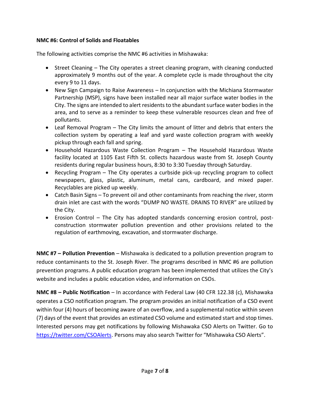#### **NMC #6: Control of Solids and Floatables**

The following activities comprise the NMC #6 activities in Mishawaka:

- Street Cleaning The City operates a street cleaning program, with cleaning conducted approximately 9 months out of the year. A complete cycle is made throughout the city every 9 to 11 days.
- New Sign Campaign to Raise Awareness In conjunction with the Michiana Stormwater Partnership (MSP), signs have been installed near all major surface water bodies in the City. The signs are intended to alert residents to the abundant surface water bodies in the area, and to serve as a reminder to keep these vulnerable resources clean and free of pollutants.
- Leaf Removal Program The City limits the amount of litter and debris that enters the collection system by operating a leaf and yard waste collection program with weekly pickup through each fall and spring.
- Household Hazardous Waste Collection Program The Household Hazardous Waste facility located at 1105 East Fifth St. collects hazardous waste from St. Joseph County residents during regular business hours, 8:30 to 3:30 Tuesday through Saturday.
- Recycling Program The City operates a curbside pick-up recycling program to collect newspapers, glass, plastic, aluminum, metal cans, cardboard, and mixed paper. Recyclables are picked up weekly.
- Catch Basin Signs To prevent oil and other contaminants from reaching the river, storm drain inlet are cast with the words "DUMP NO WASTE. DRAINS TO RIVER" are utilized by the City.
- Erosion Control The City has adopted standards concerning erosion control, postconstruction stormwater pollution prevention and other provisions related to the regulation of earthmoving, excavation, and stormwater discharge.

**NMC #7 – Pollution Prevention** – Mishawaka is dedicated to a pollution prevention program to reduce contaminants to the St. Joseph River. The programs described in NMC #6 are pollution prevention programs. A public education program has been implemented that utilizes the City's website and includes a public education video, and information on CSOs.

**NMC #8 – Public Notification** – In accordance with Federal Law (40 CFR 122.38 (c), Mishawaka operates a CSO notification program. The program provides an initial notification of a CSO event within four (4) hours of becoming aware of an overflow, and a supplemental notice within seven (7) days of the event that provides an estimated CSO volume and estimated start and stop times. Interested persons may get notifications by following Mishawaka CSO Alerts on Twitter. Go to <https://twitter.com/CSOAlerts>. Persons may also search Twitter for "Mishawaka CSO Alerts".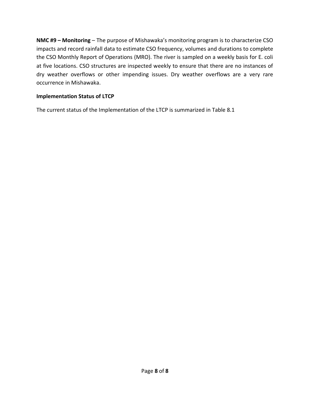**NMC #9 – Monitoring** – The purpose of Mishawaka's monitoring program is to characterize CSO impacts and record rainfall data to estimate CSO frequency, volumes and durations to complete the CSO Monthly Report of Operations (MRO). The river is sampled on a weekly basis for E. coli at five locations. CSO structures are inspected weekly to ensure that there are no instances of dry weather overflows or other impending issues. Dry weather overflows are a very rare occurrence in Mishawaka.

#### **Implementation Status of LTCP**

The current status of the Implementation of the LTCP is summarized in Table 8.1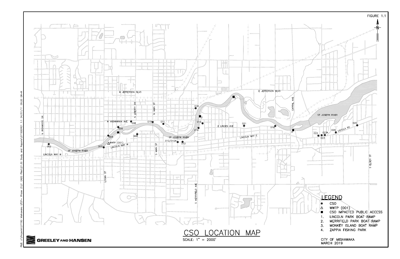

 $H$ <sup> $+$ </sup> $H$ 09:20  $11/10$ ਣੇ Ξ SO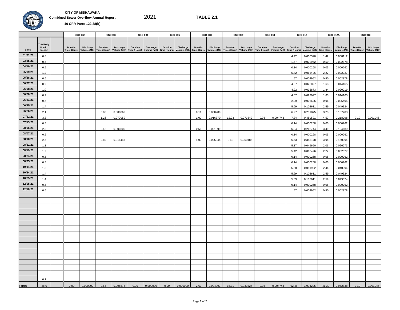

**CITY OF MISHAWAKA Combined Sewer Overflow Annual Report 40 CFR Parts 122.38(b)**

2021

**TABLE 2.1**

|                      |                               |              | CSO 002          |                          | CSO 003   |          | <b>CSO 004</b> |          | CSO 006   |          | <b>CSO 008</b>                                                                                      |          | CSO 009     |                          | CSO 011   |              | CSO 012              |              | <b>CSO 012A</b>      |              | CSO 013     |
|----------------------|-------------------------------|--------------|------------------|--------------------------|-----------|----------|----------------|----------|-----------|----------|-----------------------------------------------------------------------------------------------------|----------|-------------|--------------------------|-----------|--------------|----------------------|--------------|----------------------|--------------|-------------|
|                      | <b>Total Daily</b><br>Precip. | Duration     | <b>Discharge</b> | Duration                 | Discharge | Duration | Discharge      | Duration | Discharge | Duration | Discharge                                                                                           | Duration | Discharge   | Duration                 | Discharge | Duration     | Discharge            | Duration     | Discharge            | Duration     | Discharge   |
| DATE                 | (Inches)                      | Time (Hours) |                  | Volume (MG) Time (Hours) |           |          |                |          |           |          | Volume (MG) Time (Hours) Volume (MG) Time (Hours) Volume (MG) Time (Hours) Volume (MG) Time (Hours) |          | Volume (MG) | Time (Hours) Volume (MG) |           | Time (Hours) | Volume (MG)          | Time (Hours) | Volume (MG)          | Time (Hours) | Volume (MG) |
| 01/01/21             | 0.8                           |              |                  |                          |           |          |                |          |           |          |                                                                                                     |          |             |                          |           | 4.42         | 0.008320             | 1.42         | 0.008112             |              |             |
| 03/25/21             | 0.6                           |              |                  |                          |           |          |                |          |           |          |                                                                                                     |          |             |                          |           | 1.57         | 0.002952             | 0.50         | 0.002878             |              |             |
| 04/10/21             | 0.5                           |              |                  |                          |           |          |                |          |           |          |                                                                                                     |          |             |                          |           | 0.14         | 0.000268             | 0.05         | 0.000262             |              |             |
| 05/09/21             | 1.2                           |              |                  |                          |           |          |                |          |           |          |                                                                                                     |          |             |                          |           | 5.42         | 0.063426             | 2.27         | 0.032327             |              |             |
| 05/28/21             | 0.6                           |              |                  |                          |           |          |                |          |           |          |                                                                                                     |          |             |                          |           | 1.57         | 0.002952             | 0.50         | 0.002878             |              |             |
| 06/07/21             | 0.9                           |              |                  |                          |           |          |                |          |           |          |                                                                                                     |          |             |                          |           | 4.67         | 0.022097             | 1.63         | 0.014165             |              |             |
| 06/08/21             | 1.0                           |              |                  |                          |           |          |                |          |           |          |                                                                                                     |          |             |                          |           | 4.92         | 0.035873             | 1.84         | 0.020219             |              |             |
| 06/20/21             | 0.9                           |              |                  |                          |           |          |                |          |           |          |                                                                                                     |          |             |                          |           | 4.67         | 0.022097             | 1.63         | 0.014165             |              |             |
| 06/21/21             | 0.7                           |              |                  |                          |           |          |                |          |           |          |                                                                                                     |          |             |                          |           | 2.99         | 0.005636             | 0.96         | 0.005495             |              |             |
| 06/25/21<br>06/26/21 | 1.4                           |              |                  |                          |           |          |                |          |           |          |                                                                                                     |          |             |                          |           | 5.69         | 0.102611             | 2.59         | 0.049324             |              |             |
| 07/12/21             | 2.1                           |              |                  | 0.08                     | 0.000062  |          |                |          |           | 0.11     | 0.000280                                                                                            |          |             |                          |           | 6.27         | 0.231875             | 3.23         | 0.107203             |              |             |
| 07/13/21             | 3.3                           |              |                  | 1.26                     | 0.077059  |          |                |          |           | 1.00     | 0.016870                                                                                            | 12.23    | 0.273842    | 0.08                     | 0.004743  | 7.34         | 0.459591             | 4.57         | 0.218298             | 0.12         | 0.001946    |
| 08/06/21             | 0.5                           |              |                  |                          |           |          |                |          |           |          |                                                                                                     |          |             |                          |           | 0.14         | 0.000268             | 0.05         | 0.000262             |              |             |
| 08/07/21             | 2.3                           |              |                  | 0.42                     | 0.000309  |          |                |          |           | 0.56     | 0.001399                                                                                            |          |             |                          |           | 6.34         | 0.268744             | 3.49         | 0.124689             |              |             |
| 08/10/21             | 0.5                           |              |                  |                          |           |          |                |          |           |          |                                                                                                     |          |             |                          |           | 0.14         | 0.000268             | 0.05         | 0.000262             |              |             |
| 08/11/21             | 2.7                           |              |                  | 0.89                     | 0.018447  |          |                |          |           | 1.00     | 0.005844                                                                                            | 3.48     | 0.059485    |                          |           | 6.63         | 0.343178             | 3.94         | 0.160994             |              |             |
| 08/19/21             | 1.1                           |              |                  |                          |           |          |                |          |           |          |                                                                                                     |          |             |                          |           | 5.17         | 0.049650             | 2.06         | 0.026273             |              |             |
| 08/24/21             | 1.2                           |              |                  |                          |           |          |                |          |           |          |                                                                                                     |          |             |                          |           | 5.42         | 0.063426             | 2.27         | 0.032327             |              |             |
| 08/25/21             | 0.5<br>0.5                    |              |                  |                          |           |          |                |          |           |          |                                                                                                     |          |             |                          |           | 0.14<br>0.14 | 0.000268             | 0.05<br>0.05 | 0.000262<br>0.000262 |              |             |
| 10/11/21             | 1.3                           |              |                  |                          |           |          |                |          |           |          |                                                                                                     |          |             |                          |           | 5.58         | 0.000268<br>0.081992 | 2.44         | 0.040394             |              |             |
| 10/24/21             | 1.4                           |              |                  |                          |           |          |                |          |           |          |                                                                                                     |          |             |                          |           | 5.69         | 0.102611             | 2.59         | 0.049324             |              |             |
| 10/25/21             | 1.4                           |              |                  |                          |           |          |                |          |           |          |                                                                                                     |          |             |                          |           | 5.69         | 0.102611             | 2.59         | 0.049324             |              |             |
| 12/05/21             | 0.5                           |              |                  |                          |           |          |                |          |           |          |                                                                                                     |          |             |                          |           | 0.14         | 0.000268             | 0.05         | 0.000262             |              |             |
| 12/18/21             | 0.6                           |              |                  |                          |           |          |                |          |           |          |                                                                                                     |          |             |                          |           | 1.57         | 0.002952             | 0.50         | 0.002878             |              |             |
|                      |                               |              |                  |                          |           |          |                |          |           |          |                                                                                                     |          |             |                          |           |              |                      |              |                      |              |             |
|                      |                               |              |                  |                          |           |          |                |          |           |          |                                                                                                     |          |             |                          |           |              |                      |              |                      |              |             |
|                      |                               |              |                  |                          |           |          |                |          |           |          |                                                                                                     |          |             |                          |           |              |                      |              |                      |              |             |
|                      |                               |              |                  |                          |           |          |                |          |           |          |                                                                                                     |          |             |                          |           |              |                      |              |                      |              |             |
|                      |                               |              |                  |                          |           |          |                |          |           |          |                                                                                                     |          |             |                          |           |              |                      |              |                      |              |             |
|                      |                               |              |                  |                          |           |          |                |          |           |          |                                                                                                     |          |             |                          |           |              |                      |              |                      |              |             |
|                      |                               |              |                  |                          |           |          |                |          |           |          |                                                                                                     |          |             |                          |           |              |                      |              |                      |              |             |
|                      |                               |              |                  |                          |           |          |                |          |           |          |                                                                                                     |          |             |                          |           |              |                      |              |                      |              |             |
|                      |                               |              |                  |                          |           |          |                |          |           |          |                                                                                                     |          |             |                          |           |              |                      |              |                      |              |             |
|                      |                               |              |                  |                          |           |          |                |          |           |          |                                                                                                     |          |             |                          |           |              |                      |              |                      |              |             |
|                      |                               |              |                  |                          |           |          |                |          |           |          |                                                                                                     |          |             |                          |           |              |                      |              |                      |              |             |
|                      |                               |              |                  |                          |           |          |                |          |           |          |                                                                                                     |          |             |                          |           |              |                      |              |                      |              |             |
|                      |                               |              |                  |                          |           |          |                |          |           |          |                                                                                                     |          |             |                          |           |              |                      |              |                      |              |             |
|                      |                               |              |                  |                          |           |          |                |          |           |          |                                                                                                     |          |             |                          |           |              |                      |              |                      |              |             |
|                      |                               |              |                  |                          |           |          |                |          |           |          |                                                                                                     |          |             |                          |           |              |                      |              |                      |              |             |
|                      | 0.1                           |              |                  |                          |           |          |                |          |           |          |                                                                                                     |          |             |                          |           |              |                      |              |                      |              |             |
| Totals:              | 28.6                          | 0.00         | 0.000000         | 2.65                     | 0.095876  | 0.00     | 0.000000       | 0.00     | 0.000000  | 2.67     | 0.024393                                                                                            | 15.71    | 0.333327    | 0.08                     | 0.004743  | 92.48        | 1.974205             | 41.30        | 0.962838             | 0.12         | 0.001946    |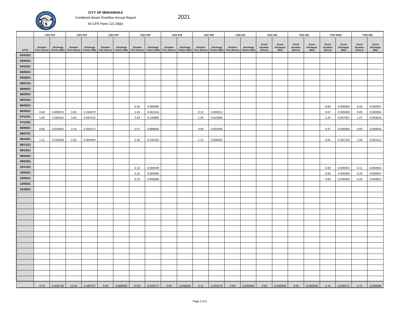#### **CITY OF MISHAWAKA** Combined Sewer Overflow Annual Report



40 CFR Parts 122.38(b)

|                      |      | CSO 014  |       | CSO 015  |      | CSO 016  |              | CSO 018                                                                                                                                                                         |      | CSO 019  |      | CSO 020                                                                                                                                |      | CSO 021  |                   | <b>CSO 022</b>            |                   | <b>CSO 023</b>     |                   | <b>CSO 023A</b>      |                   | <b>CSO 024</b>             |
|----------------------|------|----------|-------|----------|------|----------|--------------|---------------------------------------------------------------------------------------------------------------------------------------------------------------------------------|------|----------|------|----------------------------------------------------------------------------------------------------------------------------------------|------|----------|-------------------|---------------------------|-------------------|--------------------|-------------------|----------------------|-------------------|----------------------------|
|                      |      |          |       |          |      |          |              | Duration Discharge Duration Discharge Duration Discharge Duration Discharge Time (Hours) Volume (MG) Time (Hours) Volume (MG) Time (Hours) Volume (MG) Time (Hours) Volume (MG) |      |          |      | Duration Discharge Duration Discharge Duration Discharge<br>Time (Hours) Volume (MG) Time (Hours) Volume (MG) Time (Hours) Volume (MG) |      |          | Event<br>Duration | Event<br><b>Discharge</b> | Event<br>Duration | Event<br>Discharge | Event<br>Duration | Event<br>Discharge   | Event<br>Duration | Event<br>Discharge<br>(MG) |
| <b>DATE</b>          |      |          |       |          |      |          |              |                                                                                                                                                                                 |      |          |      |                                                                                                                                        |      |          | (Hours)           | (MG)                      | (Hours)           | (MG)               | (Hours)           | (MG)                 | (Hours)           |                            |
| 01/01/21<br>03/25/21 |      |          |       |          |      |          |              |                                                                                                                                                                                 |      |          |      |                                                                                                                                        |      |          |                   |                           |                   |                    |                   |                      |                   |                            |
| 04/10/21             |      |          |       |          |      |          |              |                                                                                                                                                                                 |      |          |      |                                                                                                                                        |      |          |                   |                           |                   |                    |                   |                      |                   |                            |
| 05/09/21             |      |          |       |          |      |          |              |                                                                                                                                                                                 |      |          |      |                                                                                                                                        |      |          |                   |                           |                   |                    |                   |                      |                   |                            |
| 05/28/21             |      |          |       |          |      |          |              |                                                                                                                                                                                 |      |          |      |                                                                                                                                        |      |          |                   |                           |                   |                    |                   |                      |                   |                            |
| 06/07/21             |      |          |       |          |      |          |              |                                                                                                                                                                                 |      |          |      |                                                                                                                                        |      |          |                   |                           |                   |                    |                   |                      |                   |                            |
| 06/08/21             |      |          |       |          |      |          |              |                                                                                                                                                                                 |      |          |      |                                                                                                                                        |      |          |                   |                           |                   |                    |                   |                      |                   |                            |
| 06/20/21             |      |          |       |          |      |          |              |                                                                                                                                                                                 |      |          |      |                                                                                                                                        |      |          |                   |                           |                   |                    |                   |                      |                   |                            |
| 06/21/21             |      |          |       |          |      |          |              |                                                                                                                                                                                 |      |          |      |                                                                                                                                        |      |          |                   |                           |                   |                    |                   |                      |                   |                            |
| 06/25/21             |      |          |       |          |      |          | 0.32         | 0.000096                                                                                                                                                                        |      |          |      |                                                                                                                                        |      |          |                   |                           |                   |                    | 0.00              | 0.000000             | 0.26              | 0.000007                   |
| 06/26/21             | 0.40 | 0.009576 | 3.03  | 0.194670 |      |          | 1.81         | 0.061019                                                                                                                                                                        |      |          | 0.12 | 0.000611                                                                                                                               |      |          |                   |                           |                   |                    | 0.07              | 0.000000             | 0.85              | 0.000501                   |
| 07/12/21             | 1.62 | 0.258444 | 3.64  | 0.584702 |      |          | 2.62         | 0.230986                                                                                                                                                                        |      |          | 1.26 | 0.020580                                                                                                                               |      |          |                   |                           |                   |                    | 1.19              | 0.007507             | 1.07              | 0.003616                   |
| 07/13/21             |      |          |       |          |      |          |              |                                                                                                                                                                                 |      |          |      |                                                                                                                                        |      |          |                   |                           |                   |                    |                   |                      |                   |                            |
| 08/06/21             | 0.66 | 0.033692 | 3.14  | 0.266272 |      |          | 2.07         | 0.089665                                                                                                                                                                        |      |          | 0.60 | 0.003056                                                                                                                               |      |          |                   |                           |                   |                    | 0.37              | 0.000000             | 0.93              | 0.000833                   |
| 08/07/21             |      |          |       |          |      |          |              |                                                                                                                                                                                 |      |          |      |                                                                                                                                        |      |          |                   |                           |                   |                    |                   |                      |                   |                            |
| 08/10/21             | 1.11 | 0.105028 | 3.35  | 0.400065 |      |          | 2.40         | 0.146181                                                                                                                                                                        |      |          | 1.13 | 0.008922                                                                                                                               |      |          |                   |                           |                   |                    | 0.81              | 0.001763             | 1.00              | 0.001612                   |
| 08/11/21             |      |          |       |          |      |          |              |                                                                                                                                                                                 |      |          |      |                                                                                                                                        |      |          |                   |                           |                   |                    |                   |                      |                   |                            |
| 08/19/21             |      |          |       |          |      |          |              |                                                                                                                                                                                 |      |          |      |                                                                                                                                        |      |          |                   |                           |                   |                    |                   |                      |                   |                            |
| 08/24/21             |      |          |       |          |      |          |              |                                                                                                                                                                                 |      |          |      |                                                                                                                                        |      |          |                   |                           |                   |                    |                   |                      |                   |                            |
| 08/25/21<br>10/11/21 |      |          |       |          |      |          |              |                                                                                                                                                                                 |      |          |      |                                                                                                                                        |      |          |                   |                           |                   |                    |                   |                      |                   |                            |
| 10/24/21             |      |          |       |          |      |          | 0.13         | 0.000039                                                                                                                                                                        |      |          |      |                                                                                                                                        |      |          |                   |                           |                   |                    | 0.00              | 0.000001             | 0.11              | 0.000003                   |
| 10/25/21             |      |          |       |          |      |          | 0.32<br>0.32 | 0.000096<br>0.000096                                                                                                                                                            |      |          |      |                                                                                                                                        |      |          |                   |                           |                   |                    | 0.00<br>0.00      | 0.000000<br>0.000000 | 0.26<br>0.26      | 0.000007<br>0.000007       |
| 12/05/21             |      |          |       |          |      |          |              |                                                                                                                                                                                 |      |          |      |                                                                                                                                        |      |          |                   |                           |                   |                    |                   |                      |                   |                            |
| 12/18/21             |      |          |       |          |      |          |              |                                                                                                                                                                                 |      |          |      |                                                                                                                                        |      |          |                   |                           |                   |                    |                   |                      |                   |                            |
|                      |      |          |       |          |      |          |              |                                                                                                                                                                                 |      |          |      |                                                                                                                                        |      |          |                   |                           |                   |                    |                   |                      |                   |                            |
|                      |      |          |       |          |      |          |              |                                                                                                                                                                                 |      |          |      |                                                                                                                                        |      |          |                   |                           |                   |                    |                   |                      |                   |                            |
|                      |      |          |       |          |      |          |              |                                                                                                                                                                                 |      |          |      |                                                                                                                                        |      |          |                   |                           |                   |                    |                   |                      |                   |                            |
|                      |      |          |       |          |      |          |              |                                                                                                                                                                                 |      |          |      |                                                                                                                                        |      |          |                   |                           |                   |                    |                   |                      |                   |                            |
|                      |      |          |       |          |      |          |              |                                                                                                                                                                                 |      |          |      |                                                                                                                                        |      |          |                   |                           |                   |                    |                   |                      |                   |                            |
|                      |      |          |       |          |      |          |              |                                                                                                                                                                                 |      |          |      |                                                                                                                                        |      |          |                   |                           |                   |                    |                   |                      |                   |                            |
|                      |      |          |       |          |      |          |              |                                                                                                                                                                                 |      |          |      |                                                                                                                                        |      |          |                   |                           |                   |                    |                   |                      |                   |                            |
|                      |      |          |       |          |      |          |              |                                                                                                                                                                                 |      |          |      |                                                                                                                                        |      |          |                   |                           |                   |                    |                   |                      |                   |                            |
|                      |      |          |       |          |      |          |              |                                                                                                                                                                                 |      |          |      |                                                                                                                                        |      |          |                   |                           |                   |                    |                   |                      |                   |                            |
|                      |      |          |       |          |      |          |              |                                                                                                                                                                                 |      |          |      |                                                                                                                                        |      |          |                   |                           |                   |                    |                   |                      |                   |                            |
|                      |      |          |       |          |      |          |              |                                                                                                                                                                                 |      |          |      |                                                                                                                                        |      |          |                   |                           |                   |                    |                   |                      |                   |                            |
|                      |      |          |       |          |      |          |              |                                                                                                                                                                                 |      |          |      |                                                                                                                                        |      |          |                   |                           |                   |                    |                   |                      |                   |                            |
|                      |      |          |       |          |      |          |              |                                                                                                                                                                                 |      |          |      |                                                                                                                                        |      |          |                   |                           |                   |                    |                   |                      |                   |                            |
|                      |      |          |       |          |      |          |              |                                                                                                                                                                                 |      |          |      |                                                                                                                                        |      |          |                   |                           |                   |                    |                   |                      |                   |                            |
|                      |      |          |       |          |      |          |              |                                                                                                                                                                                 |      |          |      |                                                                                                                                        |      |          |                   |                           |                   |                    |                   |                      |                   |                            |
|                      | 3.78 | 0.406740 | 13.16 | 1.445707 | 0.00 | 0.000000 | 10.01        | 0.528177                                                                                                                                                                        | 0.00 | 0.000000 | 3.11 | 0.033170                                                                                                                               | 0.00 | 0.000000 | 0.00              | 0.000000                  | 0.00              | 0.000000           | 2.44              | 0.009272             | 4.72              | 0.006586                   |